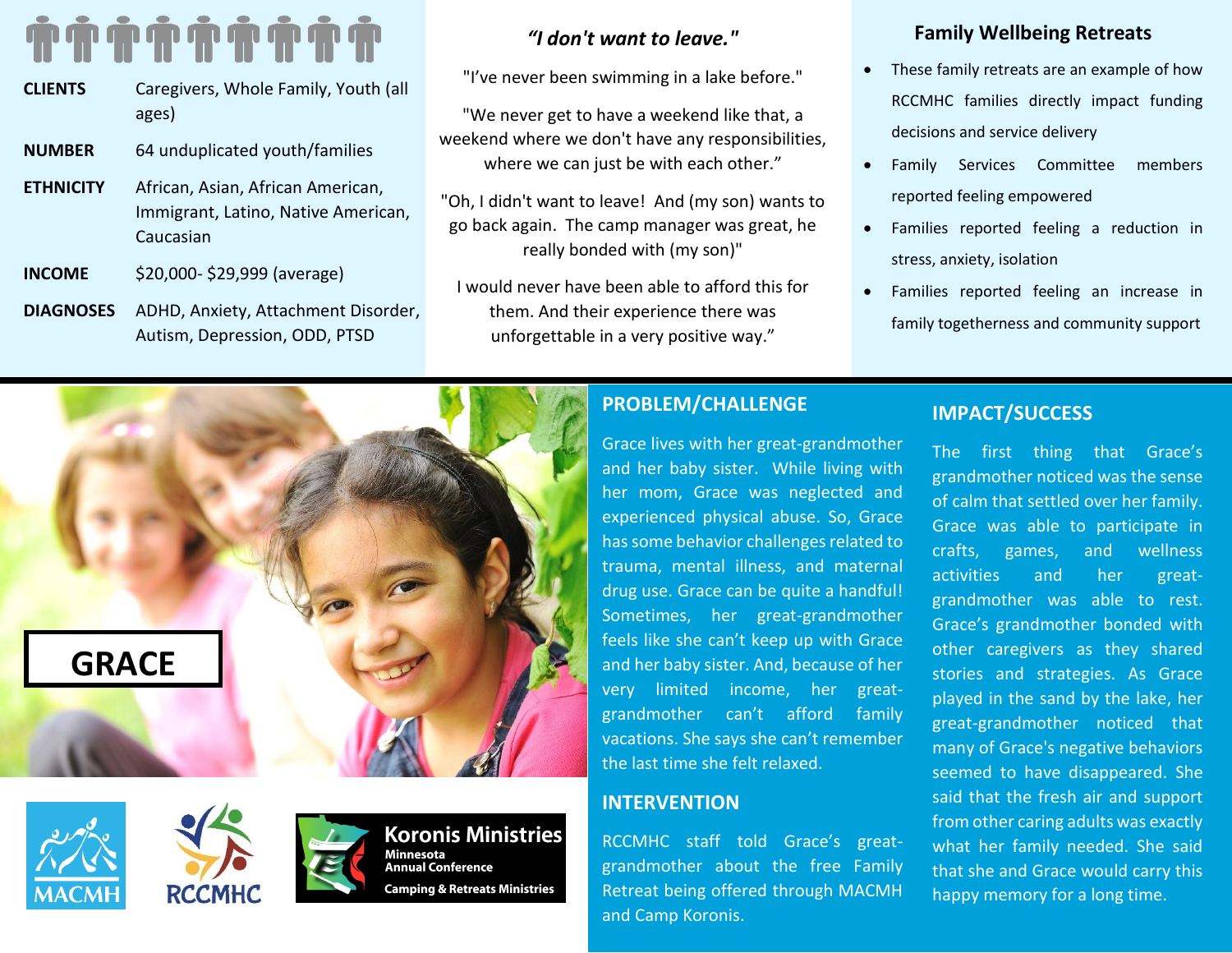# **. . . . . . .** .

| <b>CLIENTS</b>   | Caregivers, Whole Family, Youth (all<br>ages)                                         |
|------------------|---------------------------------------------------------------------------------------|
| <b>NUMBER</b>    | 64 unduplicated youth/families                                                        |
| <b>ETHNICITY</b> | African, Asian, African American,<br>Immigrant, Latino, Native American,<br>Caucasian |
| <b>INCOME</b>    | \$20,000-\$29,999 (average)                                                           |
| <b>DIAGNOSES</b> | ADHD, Anxiety, Attachment Disorder,                                                   |

Autism, Depression, ODD, PTSD

# *"I don't want to leave."*

"I've never been swimming in a lake before."

"We never get to have a weekend like that, a weekend where we don't have any responsibilities, where we can just be with each other."

"Oh, I didn't want to leave! And (my son) wants to go back again. The camp manager was great, he really bonded with (my son)"

I would never have been able to afford this for them. And their experience there was unforgettable in a very positive way."

## **Family Wellbeing Retreats**

- These family retreats are an example of how RCCMHC families directly impact funding decisions and service delivery
- Family Services Committee members reported feeling empowered
- Families reported feeling a reduction in stress, anxiety, isolation
- Families reported feeling an increase in family togetherness and community support

# **GRACE**





### **Koronis Ministries** Minnesota **Annual Conference** Camping & Retreats Ministries

# **PROBLEM/CHALLENGE**

Grace lives with her great-grandmother and her baby sister. While living with her mom, Grace was neglected and experienced physical abuse. So, Grace has some behavior challenges related to trauma, mental illness, and maternal drug use. Grace can be quite a handful! Sometimes, her great-grandmother feels like she can't keep up with Grace and her baby sister. And, because of her very limited income, her greatgrandmother can't afford family vacations. She says she can't remember the last time she felt relaxed.

# **INTERVENTION**

RCCMHC staff told Grace's greatgrandmother about the free Family Retreat being offered through MACMH and Camp Koronis.

# **IMPACT/SUCCESS**

The first thing that Grace's grandmother noticed was the sense of calm that settled over her family. Grace was able to participate in crafts, games, and wellness activities and her greatgrandmother was able to rest. Grace's grandmother bonded with other caregivers as they shared stories and strategies. As Grace played in the sand by the lake, her great-grandmother noticed that many of Grace's negative behaviors seemed to have disappeared. She said that the fresh air and support from other caring adults was exactly what her family needed. She said that she and Grace would carry this happy memory for a long time.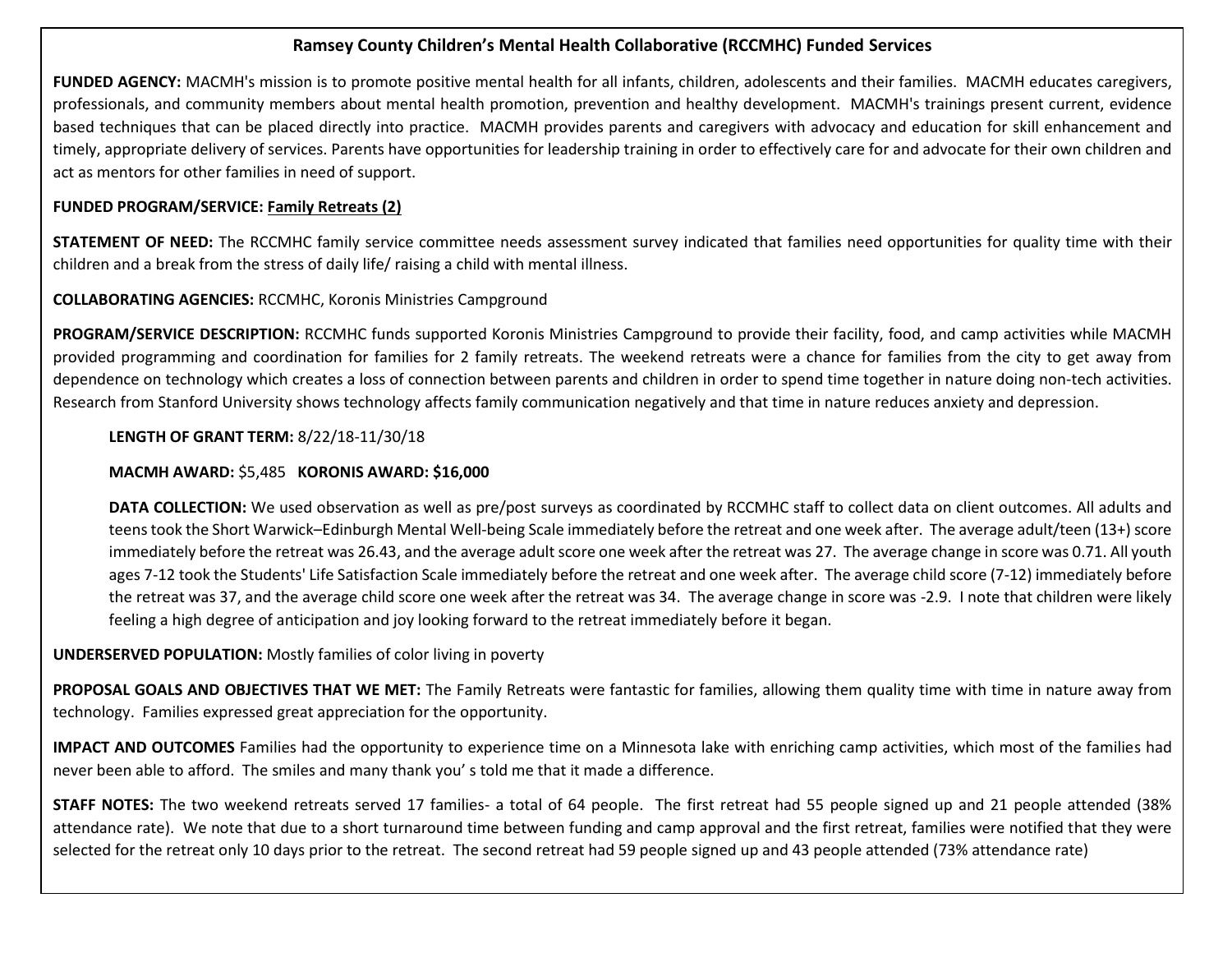### **Ramsey County Children's Mental Health Collaborative (RCCMHC) Funded Services**

**FUNDED AGENCY:** MACMH's mission is to promote positive mental health for all infants, children, adolescents and their families. MACMH educates caregivers, professionals, and community members about mental health promotion, prevention and healthy development. MACMH's trainings present current, evidence based techniques that can be placed directly into practice. MACMH provides parents and caregivers with advocacy and education for skill enhancement and timely, appropriate delivery of services. Parents have opportunities for leadership training in order to effectively care for and advocate for their own children and act as mentors for other families in need of support.

### **FUNDED PROGRAM/SERVICE: Family Retreats (2)**

**STATEMENT OF NEED:** The RCCMHC family service committee needs assessment survey indicated that families need opportunities for quality time with their children and a break from the stress of daily life/ raising a child with mental illness.

### **COLLABORATING AGENCIES:** RCCMHC, Koronis Ministries Campground

**PROGRAM/SERVICE DESCRIPTION:** RCCMHC funds supported Koronis Ministries Campground to provide their facility, food, and camp activities while MACMH provided programming and coordination for families for 2 family retreats. The weekend retreats were a chance for families from the city to get away from dependence on technology which creates a loss of connection between parents and children in order to spend time together in nature doing non-tech activities. Research from Stanford University shows technology affects family communication negatively and that time in nature reduces anxiety and depression.

### **LENGTH OF GRANT TERM:** 8/22/18-11/30/18

### **MACMH AWARD:** \$5,485 **KORONIS AWARD: \$16,000**

**DATA COLLECTION:** We used observation as well as pre/post surveys as coordinated by RCCMHC staff to collect data on client outcomes. All adults and teens took the Short Warwick–Edinburgh Mental Well-being Scale immediately before the retreat and one week after. The average adult/teen (13+) score immediately before the retreat was 26.43, and the average adult score one week after the retreat was 27. The average change in score was 0.71. All youth ages 7-12 took the Students' Life Satisfaction Scale immediately before the retreat and one week after. The average child score (7-12) immediately before the retreat was 37, and the average child score one week after the retreat was 34. The average change in score was -2.9. I note that children were likely feeling a high degree of anticipation and joy looking forward to the retreat immediately before it began.

### **UNDERSERVED POPULATION:** Mostly families of color living in poverty

**PROPOSAL GOALS AND OBJECTIVES THAT WE MET:** The Family Retreats were fantastic for families, allowing them quality time with time in nature away from technology. Families expressed great appreciation for the opportunity.

**IMPACT AND OUTCOMES** Families had the opportunity to experience time on a Minnesota lake with enriching camp activities, which most of the families had never been able to afford. The smiles and many thank you' s told me that it made a difference.

**STAFF NOTES:** The two weekend retreats served 17 families- a total of 64 people. The first retreat had 55 people signed up and 21 people attended (38% attendance rate). We note that due to a short turnaround time between funding and camp approval and the first retreat, families were notified that they were selected for the retreat only 10 days prior to the retreat. The second retreat had 59 people signed up and 43 people attended (73% attendance rate)